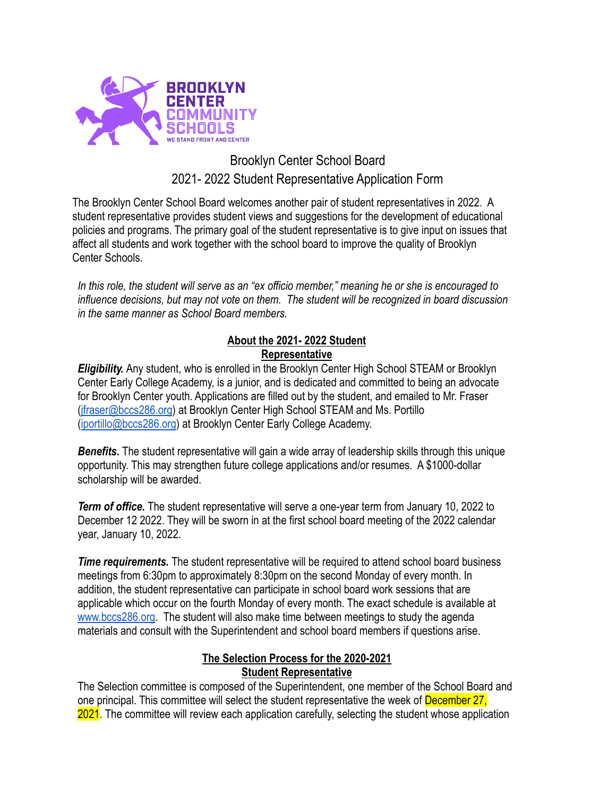

# Brooklyn Center School Board 2021- 2022 Student Representative Application Form

The Brooklyn Center School Board welcomes another pair of student representatives in 2022. A student representative provides student views and suggestions for the development of educational policies and programs. The primary goal of the student representative is to give input on issues that affect all students and work together with the school board to improve the quality of Brooklyn Center Schools.

*In this role, the student will serve as an "ex officio member," meaning he or she is encouraged to influence decisions, but may not vote on them. The student will be recognized in board discussion in the same manner as School Board members.*

## **About the 2021- 2022 Student Representative**

*Eligibility.* Any student, who is enrolled in the Brooklyn Center High School STEAM or Brooklyn Center Early College Academy, is a junior, and is dedicated and committed to being an advocate for Brooklyn Center youth. Applications are filled out by the student, and emailed to Mr. Fraser ([jfraser@bccs286.org](mailto:jfraser@bccs286.org)) at Brooklyn Center High School STEAM and Ms. Portillo ([iportillo@bccs286.org](mailto:iportillo@bccs286.org)) at Brooklyn Center Early College Academy.

*Benefits.* The student representative will gain a wide array of leadership skills through this unique opportunity. This may strengthen future college applications and/or resumes. A \$1000-dollar scholarship will be awarded.

*Term of office.* The student representative will serve a one-year term from January 10, 2022 to December 12 2022. They will be sworn in at the first school board meeting of the 2022 calendar year, January 10, 2022.

*Time requirements.* The student representative will be required to attend school board business meetings from 6:30pm to approximately 8:30pm on the second Monday of every month. In addition, the student representative can participate in school board work sessions that are applicable which occur on the fourth Monday of every month. The exact schedule is available at [www.bccs286.org](http://www.bccs286.org). The student will also make time between meetings to study the agenda materials and consult with the Superintendent and school board members if questions arise.

## **The Selection Process for the 2020-2021 Student Representative**

The Selection committee is composed of the Superintendent, one member of the School Board and one principal. This committee will select the student representative the week of December 27, 2021. The committee will review each application carefully, selecting the student whose application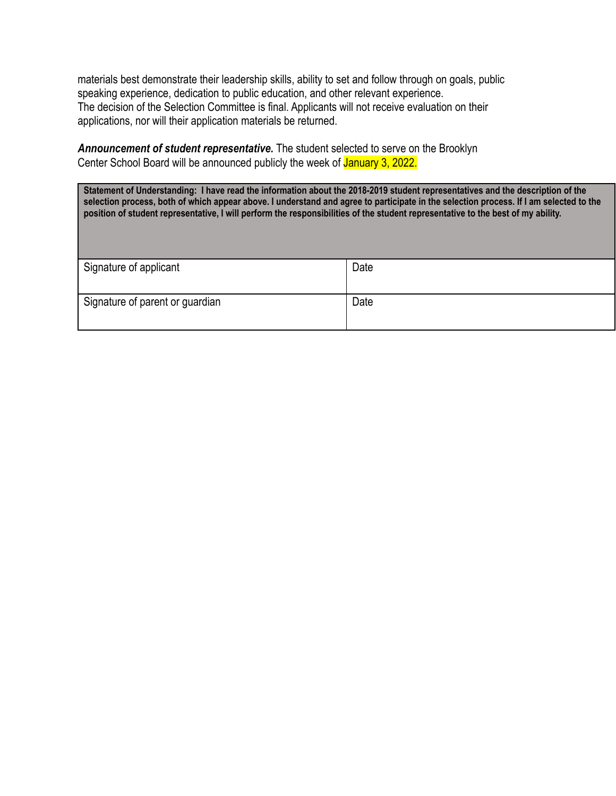materials best demonstrate their leadership skills, ability to set and follow through on goals, public speaking experience, dedication to public education, and other relevant experience. The decision of the Selection Committee is final. Applicants will not receive evaluation on their applications, nor will their application materials be returned.

*Announcement of student representative.* The student selected to serve on the Brooklyn Center School Board will be announced publicly the week of January 3, 2022.

Statement of Understanding: I have read the information about the 2018-2019 student representatives and the description of the selection process, both of which appear above. I understand and agree to participate in the selection process. If I am selected to the position of student representative, I will perform the responsibilities of the student representative to the best of my ability.

| Signature of applicant          | Date |
|---------------------------------|------|
| Signature of parent or guardian | Date |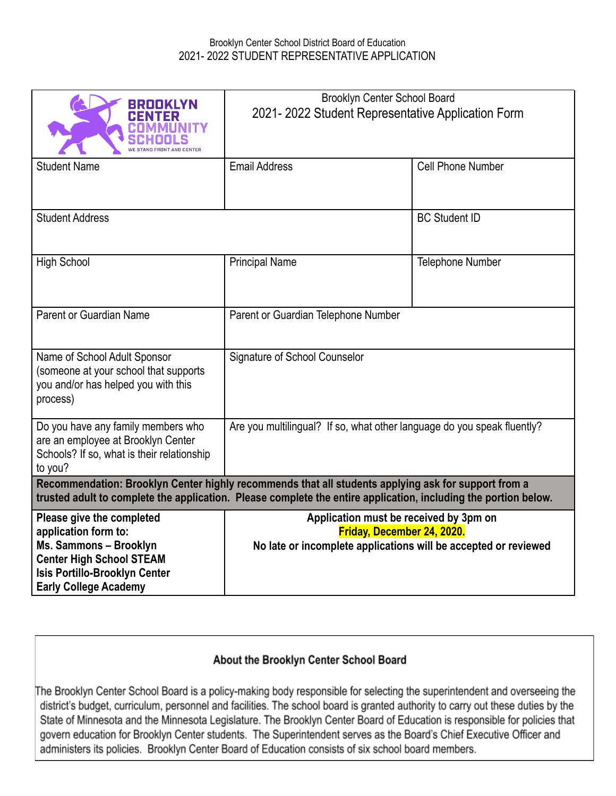## Brooklyn Center School District Board of Education 2021- 2022 STUDENT REPRESENTATIVE APPLICATION

| BROOKLYN                                                                                                                                                                                                               | Brooklyn Center School Board<br>2021-2022 Student Representative Application Form                                                       |                      |
|------------------------------------------------------------------------------------------------------------------------------------------------------------------------------------------------------------------------|-----------------------------------------------------------------------------------------------------------------------------------------|----------------------|
| <b>Student Name</b>                                                                                                                                                                                                    | <b>Email Address</b>                                                                                                                    | Cell Phone Number    |
| <b>Student Address</b>                                                                                                                                                                                                 |                                                                                                                                         | <b>BC Student ID</b> |
| <b>High School</b>                                                                                                                                                                                                     | <b>Principal Name</b>                                                                                                                   | Telephone Number     |
| Parent or Guardian Name                                                                                                                                                                                                | Parent or Guardian Telephone Number                                                                                                     |                      |
| Name of School Adult Sponsor<br>(someone at your school that supports<br>you and/or has helped you with this<br>process)                                                                                               | Signature of School Counselor                                                                                                           |                      |
| Do you have any family members who<br>are an employee at Brooklyn Center<br>Schools? If so, what is their relationship<br>to you?                                                                                      | Are you multilingual? If so, what other language do you speak fluently?                                                                 |                      |
| Recommendation: Brooklyn Center highly recommends that all students applying ask for support from a<br>trusted adult to complete the application. Please complete the entire application, including the portion below. |                                                                                                                                         |                      |
| Please give the completed<br>application form to:<br>Ms. Sammons - Brooklyn<br><b>Center High School STEAM</b><br>Isis Portillo-Brooklyn Center<br><b>Early College Academy</b>                                        | Application must be received by 3pm on<br>Friday, December 24, 2020.<br>No late or incomplete applications will be accepted or reviewed |                      |

## About the Brooklyn Center School Board

The Brooklyn Center School Board is a policy-making body responsible for selecting the superintendent and overseeing the district's budget, curriculum, personnel and facilities. The school board is granted authority to carry out these duties by the State of Minnesota and the Minnesota Legislature. The Brooklyn Center Board of Education is responsible for policies that govern education for Brooklyn Center students. The Superintendent serves as the Board's Chief Executive Officer and administers its policies. Brooklyn Center Board of Education consists of six school board members.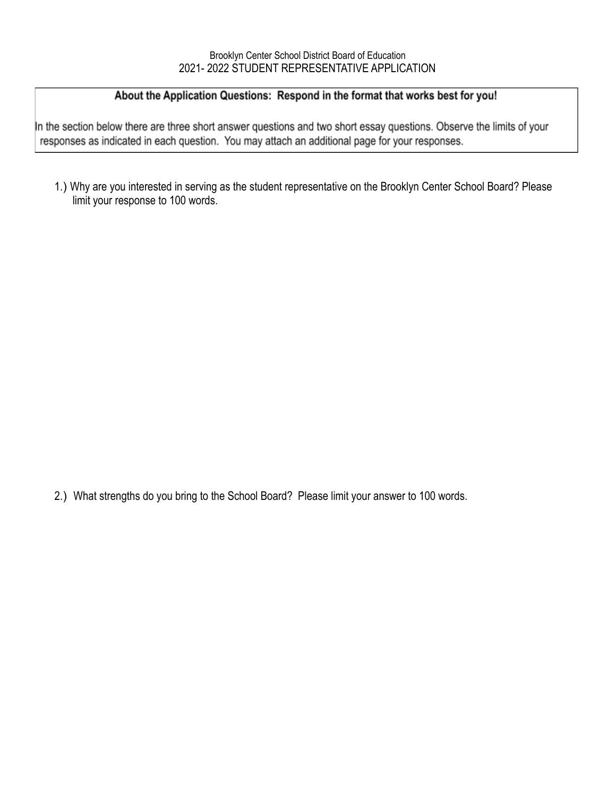## About the Application Questions: Respond in the format that works best for you!

In the section below there are three short answer questions and two short essay questions. Observe the limits of your responses as indicated in each question. You may attach an additional page for your responses.

1.) Why are you interested in serving as the student representative on the Brooklyn Center School Board? Please limit your response to 100 words.

2.) What strengths do you bring to the School Board? Please limit your answer to 100 words.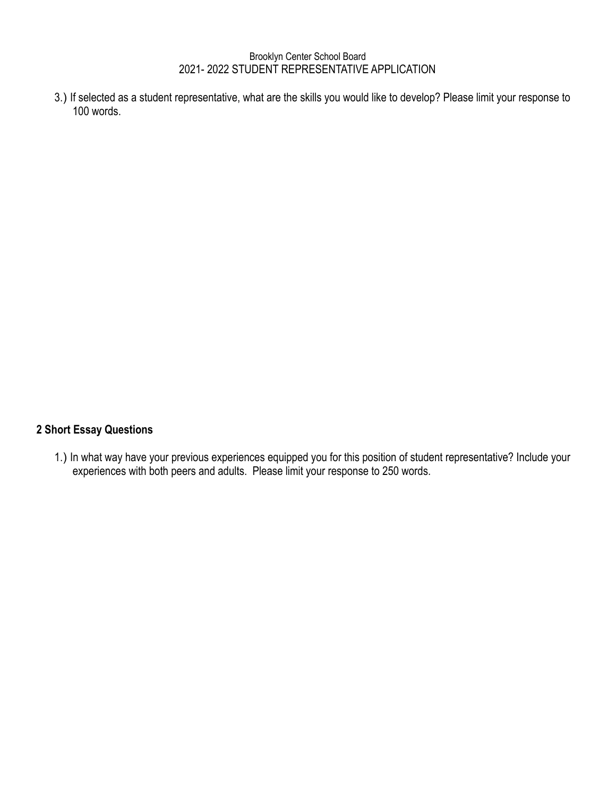#### Brooklyn Center School Board 2021- 2022 STUDENT REPRESENTATIVE APPLICATION

3.) If selected as a student representative, what are the skills you would like to develop? Please limit your response to 100 words.

## **2 Short Essay Questions**

1.) In what way have your previous experiences equipped you for this position of student representative? Include your experiences with both peers and adults. Please limit your response to 250 words.